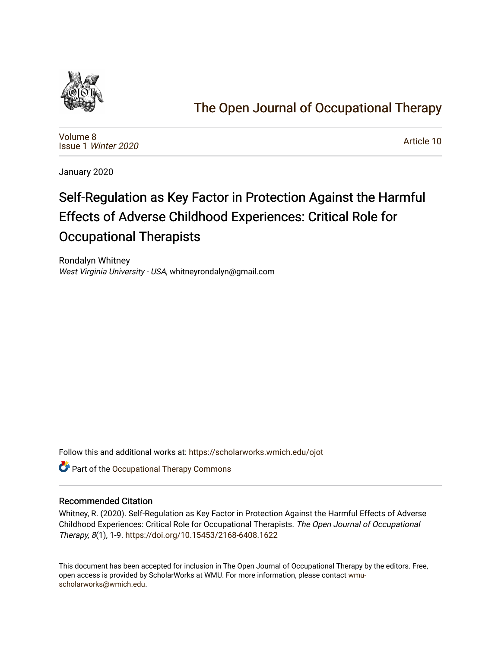

## [The Open Journal of Occupational Therapy](https://scholarworks.wmich.edu/ojot)

[Volume 8](https://scholarworks.wmich.edu/ojot/vol8) Issue 1 [Winter 2020](https://scholarworks.wmich.edu/ojot/vol8/iss1) 

[Article 10](https://scholarworks.wmich.edu/ojot/vol8/iss1/10) 

January 2020

# Self-Regulation as Key Factor in Protection Against the Harmful Effects of Adverse Childhood Experiences: Critical Role for Occupational Therapists

Rondalyn Whitney West Virginia University - USA, whitneyrondalyn@gmail.com

Follow this and additional works at: [https://scholarworks.wmich.edu/ojot](https://scholarworks.wmich.edu/ojot?utm_source=scholarworks.wmich.edu%2Fojot%2Fvol8%2Fiss1%2F10&utm_medium=PDF&utm_campaign=PDFCoverPages)

**C** Part of the Occupational Therapy Commons

#### Recommended Citation

Whitney, R. (2020). Self-Regulation as Key Factor in Protection Against the Harmful Effects of Adverse Childhood Experiences: Critical Role for Occupational Therapists. The Open Journal of Occupational Therapy, 8(1), 1-9.<https://doi.org/10.15453/2168-6408.1622>

This document has been accepted for inclusion in The Open Journal of Occupational Therapy by the editors. Free, open access is provided by ScholarWorks at WMU. For more information, please contact [wmu](mailto:wmu-scholarworks@wmich.edu)[scholarworks@wmich.edu.](mailto:wmu-scholarworks@wmich.edu)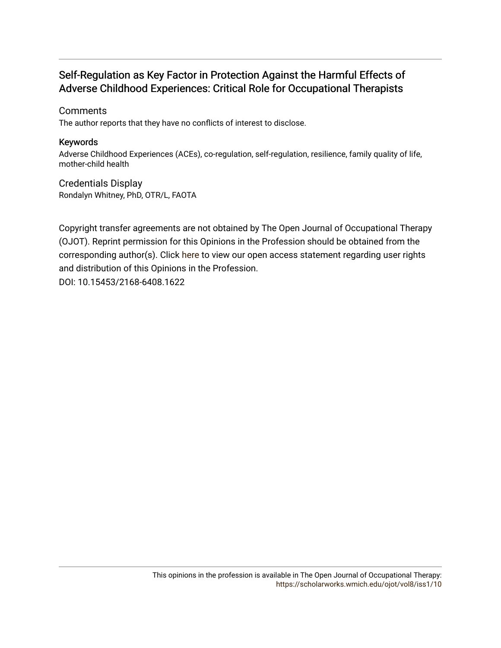### Self-Regulation as Key Factor in Protection Against the Harmful Effects of Adverse Childhood Experiences: Critical Role for Occupational Therapists

#### **Comments**

The author reports that they have no conflicts of interest to disclose.

#### Keywords

Adverse Childhood Experiences (ACEs), co-regulation, self-regulation, resilience, family quality of life, mother-child health

Credentials Display Rondalyn Whitney, PhD, OTR/L, FAOTA

Copyright transfer agreements are not obtained by The Open Journal of Occupational Therapy (OJOT). Reprint permission for this Opinions in the Profession should be obtained from the corresponding author(s). Click [here](https://scholarworks.wmich.edu/ojot/policies.html#rights) to view our open access statement regarding user rights and distribution of this Opinions in the Profession. DOI: 10.15453/2168-6408.1622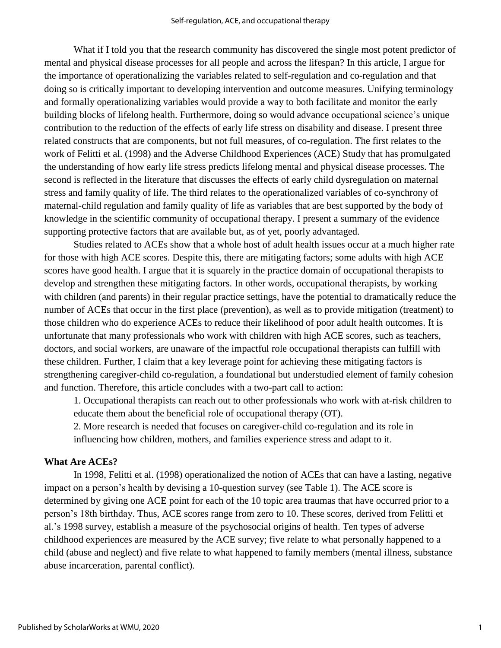What if I told you that the research community has discovered the single most potent predictor of mental and physical disease processes for all people and across the lifespan? In this article, I argue for the importance of operationalizing the variables related to self-regulation and co-regulation and that doing so is critically important to developing intervention and outcome measures. Unifying terminology and formally operationalizing variables would provide a way to both facilitate and monitor the early building blocks of lifelong health. Furthermore, doing so would advance occupational science's unique contribution to the reduction of the effects of early life stress on disability and disease. I present three related constructs that are components, but not full measures, of co-regulation. The first relates to the work of Felitti et al. (1998) and the Adverse Childhood Experiences (ACE) Study that has promulgated the understanding of how early life stress predicts lifelong mental and physical disease processes. The second is reflected in the literature that discusses the effects of early child dysregulation on maternal stress and family quality of life. The third relates to the operationalized variables of co-synchrony of maternal-child regulation and family quality of life as variables that are best supported by the body of knowledge in the scientific community of occupational therapy. I present a summary of the evidence supporting protective factors that are available but, as of yet, poorly advantaged.

Studies related to ACEs show that a whole host of adult health issues occur at a much higher rate for those with high ACE scores. Despite this, there are mitigating factors; some adults with high ACE scores have good health. I argue that it is squarely in the practice domain of occupational therapists to develop and strengthen these mitigating factors. In other words, occupational therapists, by working with children (and parents) in their regular practice settings, have the potential to dramatically reduce the number of ACEs that occur in the first place (prevention), as well as to provide mitigation (treatment) to those children who do experience ACEs to reduce their likelihood of poor adult health outcomes. It is unfortunate that many professionals who work with children with high ACE scores, such as teachers, doctors, and social workers, are unaware of the impactful role occupational therapists can fulfill with these children. Further, I claim that a key leverage point for achieving these mitigating factors is strengthening caregiver-child co-regulation, a foundational but understudied element of family cohesion and function. Therefore, this article concludes with a two-part call to action:

1. Occupational therapists can reach out to other professionals who work with at-risk children to educate them about the beneficial role of occupational therapy (OT).

2. More research is needed that focuses on caregiver-child co-regulation and its role in influencing how children, mothers, and families experience stress and adapt to it.

#### **What Are ACEs?**

In 1998, Felitti et al. (1998) operationalized the notion of ACEs that can have a lasting, negative impact on a person's health by devising a 10-question survey (see Table 1). The ACE score is determined by giving one ACE point for each of the 10 topic area traumas that have occurred prior to a person's 18th birthday. Thus, ACE scores range from zero to 10. These scores, derived from Felitti et al.'s 1998 survey, establish a measure of the psychosocial origins of health. Ten types of adverse childhood experiences are measured by the ACE survey; five relate to what personally happened to a child (abuse and neglect) and five relate to what happened to family members (mental illness, substance abuse incarceration, parental conflict).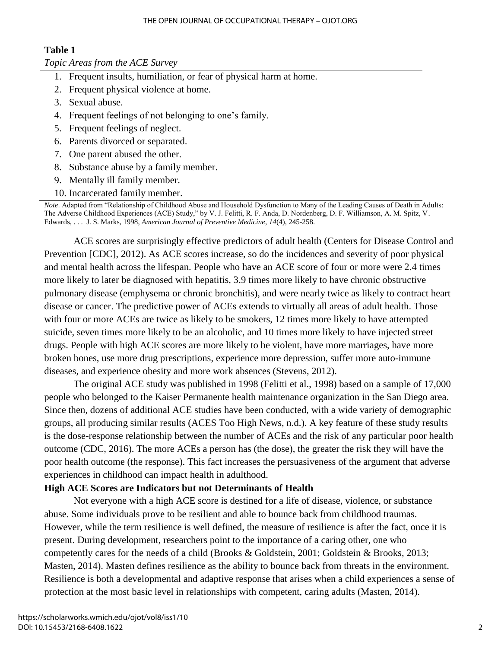#### THE OPEN JOURNAL OF OCCUPATIONAL THERAPY – OJOT.ORG

#### **Table 1**

#### *Topic Areas from the ACE Survey*

- 1. Frequent insults, humiliation, or fear of physical harm at home.
- 2. Frequent physical violence at home.
- 3. Sexual abuse.
- 4. Frequent feelings of not belonging to one's family.
- 5. Frequent feelings of neglect.
- 6. Parents divorced or separated.
- 7. One parent abused the other.
- 8. Substance abuse by a family member.
- 9. Mentally ill family member.
- 10. Incarcerated family member.

*Note*. Adapted from "Relationship of Childhood Abuse and Household Dysfunction to Many of the Leading Causes of Death in Adults: The Adverse Childhood Experiences (ACE) Study," by V. J. Felitti, R. F. Anda, D. Nordenberg, D. F. Williamson, A. M. Spitz, V. Edwards, . . . J. S. Marks, 1998, *American Journal of Preventive Medicine*, *14*(4), 245-258.

ACE scores are surprisingly effective predictors of adult health (Centers for Disease Control and Prevention [CDC], 2012). As ACE scores increase, so do the incidences and severity of poor physical and mental health across the lifespan. People who have an ACE score of four or more were 2.4 times more likely to later be diagnosed with hepatitis, 3.9 times more likely to have chronic obstructive pulmonary disease (emphysema or chronic bronchitis), and were nearly twice as likely to contract heart disease or cancer. The predictive power of ACEs extends to virtually all areas of adult health. Those with four or more ACEs are twice as likely to be smokers, 12 times more likely to have attempted suicide, seven times more likely to be an alcoholic, and 10 times more likely to have injected street drugs. People with high ACE scores are more likely to be violent, have more marriages, have more broken bones, use more drug prescriptions, experience more depression, suffer more auto-immune diseases, and experience obesity and more work absences (Stevens, 2012).

The original ACE study was published in 1998 (Felitti et al., 1998) based on a sample of 17,000 people who belonged to the Kaiser Permanente health maintenance organization in the San Diego area. Since then, dozens of additional ACE studies have been conducted, with a wide variety of demographic groups, all producing similar results (ACES Too High News, n.d.). A key feature of these study results is the dose-response relationship between the number of ACEs and the risk of any particular poor health outcome (CDC, 2016). The more ACEs a person has (the dose), the greater the risk they will have the poor health outcome (the response). This fact increases the persuasiveness of the argument that adverse experiences in childhood can impact health in adulthood.

#### **High ACE Scores are Indicators but not Determinants of Health**

Not everyone with a high ACE score is destined for a life of disease, violence, or substance abuse. Some individuals prove to be resilient and able to bounce back from childhood traumas. However, while the term resilience is well defined, the measure of resilience is after the fact, once it is present. During development, researchers point to the importance of a caring other, one who competently cares for the needs of a child (Brooks & Goldstein, 2001; Goldstein & Brooks, 2013; Masten, 2014). Masten defines resilience as the ability to bounce back from threats in the environment. Resilience is both a developmental and adaptive response that arises when a child experiences a sense of protection at the most basic level in relationships with competent, caring adults (Masten, 2014).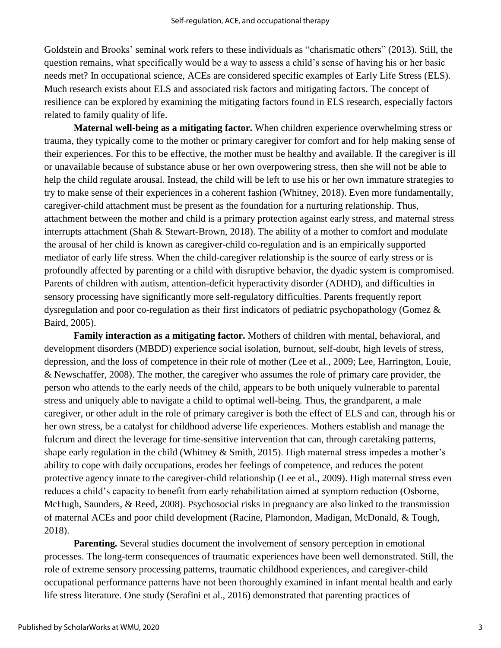Goldstein and Brooks' seminal work refers to these individuals as "charismatic others" (2013). Still, the question remains, what specifically would be a way to assess a child's sense of having his or her basic needs met? In occupational science, ACEs are considered specific examples of Early Life Stress (ELS). Much research exists about ELS and associated risk factors and mitigating factors. The concept of resilience can be explored by examining the mitigating factors found in ELS research, especially factors related to family quality of life.

**Maternal well-being as a mitigating factor.** When children experience overwhelming stress or trauma, they typically come to the mother or primary caregiver for comfort and for help making sense of their experiences. For this to be effective, the mother must be healthy and available. If the caregiver is ill or unavailable because of substance abuse or her own overpowering stress, then she will not be able to help the child regulate arousal. Instead, the child will be left to use his or her own immature strategies to try to make sense of their experiences in a coherent fashion (Whitney, 2018). Even more fundamentally, caregiver-child attachment must be present as the foundation for a nurturing relationship. Thus, attachment between the mother and child is a primary protection against early stress, and maternal stress interrupts attachment (Shah & Stewart-Brown, 2018). The ability of a mother to comfort and modulate the arousal of her child is known as caregiver-child co-regulation and is an empirically supported mediator of early life stress. When the child-caregiver relationship is the source of early stress or is profoundly affected by parenting or a child with disruptive behavior, the dyadic system is compromised. Parents of children with autism, attention-deficit hyperactivity disorder (ADHD), and difficulties in sensory processing have significantly more self-regulatory difficulties. Parents frequently report dysregulation and poor co-regulation as their first indicators of pediatric psychopathology (Gomez & Baird, 2005).

**Family interaction as a mitigating factor.** Mothers of children with mental, behavioral, and development disorders (MBDD) experience social isolation, burnout, self-doubt, high levels of stress, depression, and the loss of competence in their role of mother (Lee et al., 2009; Lee, Harrington, Louie, & Newschaffer, 2008). The mother, the caregiver who assumes the role of primary care provider, the person who attends to the early needs of the child, appears to be both uniquely vulnerable to parental stress and uniquely able to navigate a child to optimal well-being. Thus, the grandparent, a male caregiver, or other adult in the role of primary caregiver is both the effect of ELS and can, through his or her own stress, be a catalyst for childhood adverse life experiences. Mothers establish and manage the fulcrum and direct the leverage for time-sensitive intervention that can, through caretaking patterns, shape early regulation in the child (Whitney & Smith, 2015). High maternal stress impedes a mother's ability to cope with daily occupations, erodes her feelings of competence, and reduces the potent protective agency innate to the caregiver-child relationship (Lee et al., 2009). High maternal stress even reduces a child's capacity to benefit from early rehabilitation aimed at symptom reduction (Osborne, McHugh, Saunders, & Reed, 2008). Psychosocial risks in pregnancy are also linked to the transmission of maternal ACEs and poor child development (Racine, Plamondon, Madigan, McDonald, & Tough, 2018).

**Parenting***.* Several studies document the involvement of sensory perception in emotional processes. The long-term consequences of traumatic experiences have been well demonstrated. Still, the role of extreme sensory processing patterns, traumatic childhood experiences, and caregiver-child occupational performance patterns have not been thoroughly examined in infant mental health and early life stress literature. One study (Serafini et al., 2016) demonstrated that parenting practices of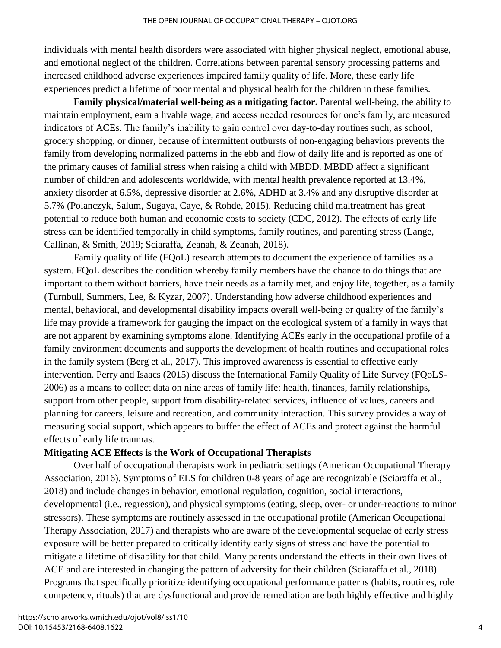individuals with mental health disorders were associated with higher physical neglect, emotional abuse, and emotional neglect of the children. Correlations between parental sensory processing patterns and increased childhood adverse experiences impaired family quality of life. More, these early life experiences predict a lifetime of poor mental and physical health for the children in these families.

**Family physical/material well-being as a mitigating factor.** Parental well-being, the ability to maintain employment, earn a livable wage, and access needed resources for one's family, are measured indicators of ACEs. The family's inability to gain control over day-to-day routines such, as school, grocery shopping, or dinner, because of intermittent outbursts of non-engaging behaviors prevents the family from developing normalized patterns in the ebb and flow of daily life and is reported as one of the primary causes of familial stress when raising a child with MBDD. MBDD affect a significant number of children and adolescents worldwide, with mental health prevalence reported at 13.4%, anxiety disorder at 6.5%, depressive disorder at 2.6%, ADHD at 3.4% and any disruptive disorder at 5.7% (Polanczyk, Salum, Sugaya, Caye, & Rohde, 2015). Reducing child maltreatment has great potential to reduce both human and economic costs to society (CDC, 2012). The effects of early life stress can be identified temporally in child symptoms, family routines, and parenting stress (Lange, Callinan, & Smith, 2019; Sciaraffa, Zeanah, & Zeanah, 2018).

Family quality of life (FQoL) research attempts to document the experience of families as a system. FQoL describes the condition whereby family members have the chance to do things that are important to them without barriers, have their needs as a family met, and enjoy life, together, as a family (Turnbull, Summers, Lee, & Kyzar, 2007). Understanding how adverse childhood experiences and mental, behavioral, and developmental disability impacts overall well-being or quality of the family's life may provide a framework for gauging the impact on the ecological system of a family in ways that are not apparent by examining symptoms alone. Identifying ACEs early in the occupational profile of a family environment documents and supports the development of health routines and occupational roles in the family system (Berg et al., 2017). This improved awareness is essential to effective early intervention. Perry and Isaacs (2015) discuss the International Family Quality of Life Survey (FQoLS-2006) as a means to collect data on nine areas of family life: health, finances, family relationships, support from other people, support from disability-related services, influence of values, careers and planning for careers, leisure and recreation, and community interaction. This survey provides a way of measuring social support, which appears to buffer the effect of ACEs and protect against the harmful effects of early life traumas.

#### **Mitigating ACE Effects is the Work of Occupational Therapists**

Over half of occupational therapists work in pediatric settings (American Occupational Therapy Association, 2016). Symptoms of ELS for children 0-8 years of age are recognizable (Sciaraffa et al., 2018) and include changes in behavior, emotional regulation, cognition, social interactions, developmental (i.e., regression), and physical symptoms (eating, sleep, over- or under-reactions to minor stressors). These symptoms are routinely assessed in the occupational profile (American Occupational Therapy Association, 2017) and therapists who are aware of the developmental sequelae of early stress exposure will be better prepared to critically identify early signs of stress and have the potential to mitigate a lifetime of disability for that child. Many parents understand the effects in their own lives of ACE and are interested in changing the pattern of adversity for their children (Sciaraffa et al., 2018). Programs that specifically prioritize identifying occupational performance patterns (habits, routines, role competency, rituals) that are dysfunctional and provide remediation are both highly effective and highly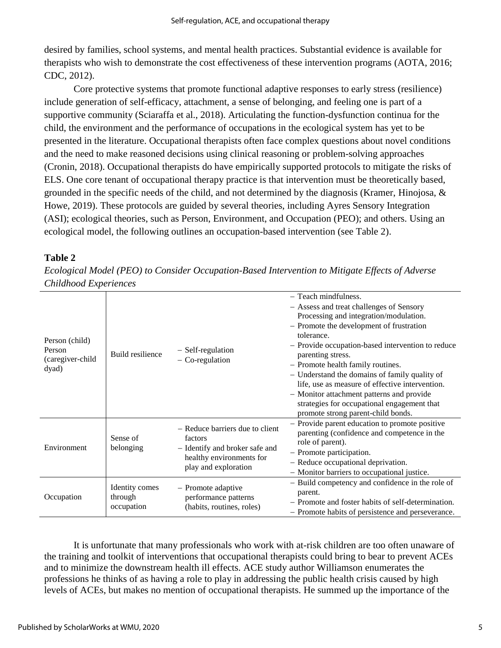desired by families, school systems, and mental health practices. Substantial evidence is available for therapists who wish to demonstrate the cost effectiveness of these intervention programs (AOTA, 2016; CDC, 2012).

Core protective systems that promote functional adaptive responses to early stress (resilience) include generation of self-efficacy, attachment, a sense of belonging, and feeling one is part of a supportive community (Sciaraffa et al., 2018). Articulating the function-dysfunction continua for the child, the environment and the performance of occupations in the ecological system has yet to be presented in the literature. Occupational therapists often face complex questions about novel conditions and the need to make reasoned decisions using clinical reasoning or problem-solving approaches (Cronin, 2018). Occupational therapists do have empirically supported protocols to mitigate the risks of ELS. One core tenant of occupational therapy practice is that intervention must be theoretically based, grounded in the specific needs of the child, and not determined by the diagnosis (Kramer, Hinojosa, & Howe, 2019). These protocols are guided by several theories, including Ayres Sensory Integration (ASI); ecological theories, such as Person, Environment, and Occupation (PEO); and others. Using an ecological model, the following outlines an occupation-based intervention (see Table 2).

#### **Table 2**

*Ecological Model (PEO) to Consider Occupation-Based Intervention to Mitigate Effects of Adverse Childhood Experiences*

| Person (child)<br>Person<br>(caregiver-child<br>dyad) | Build resilience                        | - Self-regulation<br>$-$ Co-regulation                                                                                           | - Teach mindfulness.<br>- Assess and treat challenges of Sensory<br>Processing and integration/modulation.<br>- Promote the development of frustration<br>tolerance.<br>- Provide occupation-based intervention to reduce<br>parenting stress.<br>- Promote health family routines.<br>- Understand the domains of family quality of<br>life, use as measure of effective intervention.<br>- Monitor attachment patterns and provide<br>strategies for occupational engagement that<br>promote strong parent-child bonds. |
|-------------------------------------------------------|-----------------------------------------|----------------------------------------------------------------------------------------------------------------------------------|---------------------------------------------------------------------------------------------------------------------------------------------------------------------------------------------------------------------------------------------------------------------------------------------------------------------------------------------------------------------------------------------------------------------------------------------------------------------------------------------------------------------------|
| Environment                                           | Sense of<br>belonging                   | - Reduce barriers due to client<br>factors<br>- Identify and broker safe and<br>healthy environments for<br>play and exploration | - Provide parent education to promote positive<br>parenting (confidence and competence in the<br>role of parent).<br>- Promote participation.<br>- Reduce occupational deprivation.<br>- Monitor barriers to occupational justice.                                                                                                                                                                                                                                                                                        |
| Occupation                                            | Identity comes<br>through<br>occupation | - Promote adaptive<br>performance patterns<br>(habits, routines, roles)                                                          | - Build competency and confidence in the role of<br>parent.<br>- Promote and foster habits of self-determination.<br>- Promote habits of persistence and perseverance.                                                                                                                                                                                                                                                                                                                                                    |

It is unfortunate that many professionals who work with at-risk children are too often unaware of the training and toolkit of interventions that occupational therapists could bring to bear to prevent ACEs and to minimize the downstream health ill effects. ACE study author Williamson enumerates the professions he thinks of as having a role to play in addressing the public health crisis caused by high levels of ACEs, but makes no mention of occupational therapists. He summed up the importance of the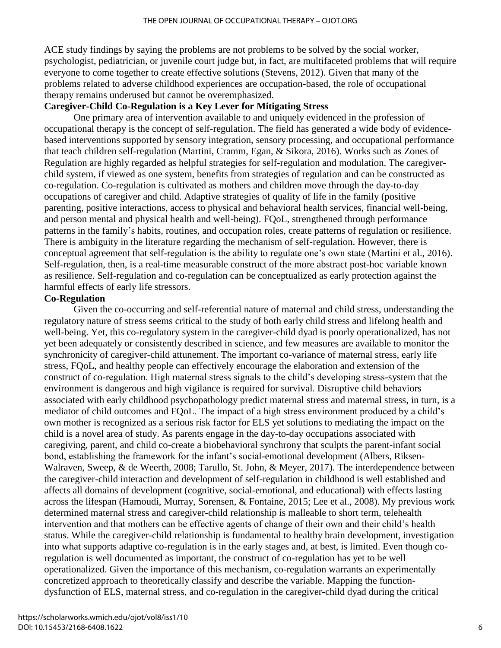ACE study findings by saying the problems are not problems to be solved by the social worker, psychologist, pediatrician, or juvenile court judge but, in fact, are multifaceted problems that will require everyone to come together to create effective solutions (Stevens, 2012). Given that many of the problems related to adverse childhood experiences are occupation-based, the role of occupational therapy remains underused but cannot be overemphasized.

#### **Caregiver-Child Co-Regulation is a Key Lever for Mitigating Stress**

One primary area of intervention available to and uniquely evidenced in the profession of occupational therapy is the concept of self-regulation. The field has generated a wide body of evidencebased interventions supported by sensory integration, sensory processing, and occupational performance that teach children self-regulation (Martini, Cramm, Egan, & Sikora, 2016). Works such as Zones of Regulation are highly regarded as helpful strategies for self-regulation and modulation. The caregiverchild system, if viewed as one system, benefits from strategies of regulation and can be constructed as co-regulation. Co-regulation is cultivated as mothers and children move through the day-to-day occupations of caregiver and child. Adaptive strategies of quality of life in the family (positive parenting, positive interactions, access to physical and behavioral health services, financial well-being, and person mental and physical health and well-being). FQoL, strengthened through performance patterns in the family's habits, routines, and occupation roles, create patterns of regulation or resilience. There is ambiguity in the literature regarding the mechanism of self-regulation. However, there is conceptual agreement that self-regulation is the ability to regulate one's own state (Martini et al., 2016). Self-regulation, then, is a real-time measurable construct of the more abstract post-hoc variable known as resilience. Self-regulation and co-regulation can be conceptualized as early protection against the harmful effects of early life stressors.

#### **Co-Regulation**

Given the co-occurring and self-referential nature of maternal and child stress, understanding the regulatory nature of stress seems critical to the study of both early child stress and lifelong health and well-being. Yet, this co-regulatory system in the caregiver-child dyad is poorly operationalized, has not yet been adequately or consistently described in science, and few measures are available to monitor the synchronicity of caregiver-child attunement. The important co-variance of maternal stress, early life stress, FQoL, and healthy people can effectively encourage the elaboration and extension of the construct of co-regulation. High maternal stress signals to the child's developing stress-system that the environment is dangerous and high vigilance is required for survival. Disruptive child behaviors associated with early childhood psychopathology predict maternal stress and maternal stress, in turn, is a mediator of child outcomes and FQoL. The impact of a high stress environment produced by a child's own mother is recognized as a serious risk factor for ELS yet solutions to mediating the impact on the child is a novel area of study. As parents engage in the day-to-day occupations associated with caregiving, parent, and child co-create a biobehavioral synchrony that sculpts the parent-infant social bond, establishing the framework for the infant's social-emotional development (Albers, Riksen-Walraven, Sweep, & de Weerth, 2008; Tarullo, St. John, & Meyer, 2017). The interdependence between the caregiver-child interaction and development of self-regulation in childhood is well established and affects all domains of development (cognitive, social-emotional, and educational) with effects lasting across the lifespan (Hamoudi, Murray, Sorensen, & Fontaine, 2015; Lee et al., 2008). My previous work determined maternal stress and caregiver-child relationship is malleable to short term, telehealth intervention and that mothers can be effective agents of change of their own and their child's health status. While the caregiver-child relationship is fundamental to healthy brain development, investigation into what supports adaptive co-regulation is in the early stages and, at best, is limited. Even though coregulation is well documented as important, the construct of co-regulation has yet to be well operationalized. Given the importance of this mechanism, co-regulation warrants an experimentally concretized approach to theoretically classify and describe the variable. Mapping the functiondysfunction of ELS, maternal stress, and co-regulation in the caregiver-child dyad during the critical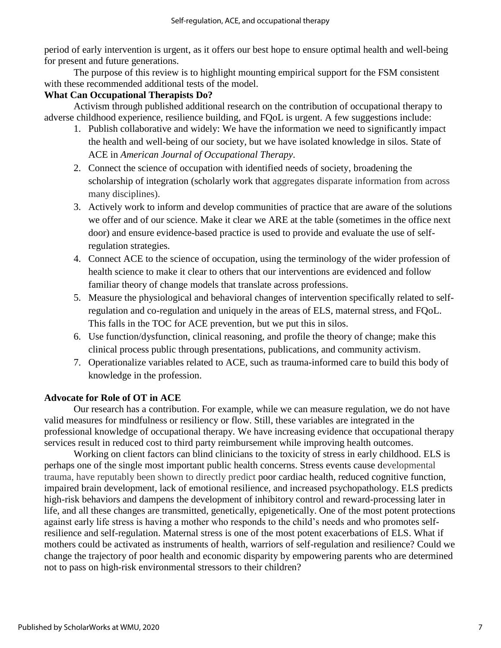period of early intervention is urgent, as it offers our best hope to ensure optimal health and well-being for present and future generations.

The purpose of this review is to highlight mounting empirical support for the FSM consistent with these recommended additional tests of the model.

#### **What Can Occupational Therapists Do?**

Activism through published additional research on the contribution of occupational therapy to adverse childhood experience, resilience building, and FQoL is urgent. A few suggestions include:

- 1. Publish collaborative and widely: We have the information we need to significantly impact the health and well-being of our society, but we have isolated knowledge in silos. State of ACE in *American Journal of Occupational Therapy*.
- 2. Connect the science of occupation with identified needs of society, broadening the scholarship of integration (scholarly work that aggregates disparate information from across many disciplines).
- 3. Actively work to inform and develop communities of practice that are aware of the solutions we offer and of our science. Make it clear we ARE at the table (sometimes in the office next door) and ensure evidence-based practice is used to provide and evaluate the use of selfregulation strategies.
- 4. Connect ACE to the science of occupation, using the terminology of the wider profession of health science to make it clear to others that our interventions are evidenced and follow familiar theory of change models that translate across professions.
- 5. Measure the physiological and behavioral changes of intervention specifically related to selfregulation and co-regulation and uniquely in the areas of ELS, maternal stress, and FQoL. This falls in the TOC for ACE prevention, but we put this in silos.
- 6. Use function/dysfunction, clinical reasoning, and profile the theory of change; make this clinical process public through presentations, publications, and community activism.
- 7. Operationalize variables related to ACE, such as trauma-informed care to build this body of knowledge in the profession.

#### **Advocate for Role of OT in ACE**

Our research has a contribution. For example, while we can measure regulation, we do not have valid measures for mindfulness or resiliency or flow. Still, these variables are integrated in the professional knowledge of occupational therapy. We have increasing evidence that occupational therapy services result in reduced cost to third party reimbursement while improving health outcomes.

Working on client factors can blind clinicians to the toxicity of stress in early childhood. ELS is perhaps one of the single most important public health concerns. Stress events cause developmental trauma, have reputably been shown to directly predict poor cardiac health, reduced cognitive function, impaired brain development, lack of emotional resilience, and increased psychopathology. ELS predicts high-risk behaviors and dampens the development of inhibitory control and reward-processing later in life, and all these changes are transmitted, genetically, epigenetically. One of the most potent protections against early life stress is having a mother who responds to the child's needs and who promotes selfresilience and self-regulation. Maternal stress is one of the most potent exacerbations of ELS. What if mothers could be activated as instruments of health, warriors of self-regulation and resilience? Could we change the trajectory of poor health and economic disparity by empowering parents who are determined not to pass on high-risk environmental stressors to their children?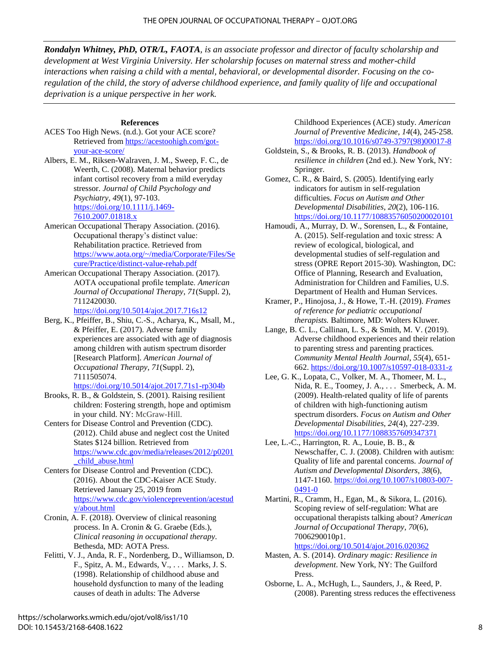*Rondalyn Whitney, PhD, OTR/L, FAOTA, is an associate professor and director of faculty scholarship and development at West Virginia University. Her scholarship focuses on maternal stress and mother-child interactions when raising a child with a mental, behavioral, or developmental disorder. Focusing on the coregulation of the child, the story of adverse childhood experience, and family quality of life and occupational deprivation is a unique perspective in her work.*

#### **References**

- ACES Too High News. (n.d.). Got your ACE score? Retrieved from [https://acestoohigh.com/got](https://acestoohigh.com/got-your-ace-score/)[your-ace-score/](https://acestoohigh.com/got-your-ace-score/)
- Albers, E. M., Riksen-Walraven, J. M., Sweep, F. C., de Weerth, C. (2008). Maternal behavior predicts infant cortisol recovery from a mild everyday stressor. *Journal of Child Psychology and Psychiatry*, *49*(1), 97-103. [https://doi.org/10.1111/j.1469-](https://doi.org/10.1111/j.1469-7610.2007.01818.x) [7610.2007.01818.x](https://doi.org/10.1111/j.1469-7610.2007.01818.x)
- American Occupational Therapy Association. (2016). Occupational therapy's distinct value: Rehabilitation practice. Retrieved from [https://www.aota.org/~/media/Corporate/Files/Se](https://www.aota.org/~/media/Corporate/Files/Secure/Practice/distinct-value-rehab.pdf) [cure/Practice/distinct-value-rehab.pdf](https://www.aota.org/~/media/Corporate/Files/Secure/Practice/distinct-value-rehab.pdf)
- American Occupational Therapy Association. (2017). AOTA occupational profile template. *American Journal of Occupational Therapy*, *71*(Suppl. 2), 7112420030.

<https://doi.org/10.5014/ajot.2017.716s12>

Berg, K., Pfeiffer, B., Shiu, C.-S., Acharya, K., Msall, M., & Pfeiffer, E. (2017). Adverse family experiences are associated with age of diagnosis among children with autism spectrum disorder [Research Platform]. *American Journal of Occupational Therapy*, *71*(Suppl. 2), 7111505074.

<https://doi.org/10.5014/ajot.2017.71s1-rp304b>

- Brooks, R. B., & Goldstein, S. (2001). Raising resilient children: Fostering strength, hope and optimism in your child. NY: McGraw-Hill.
- Centers for Disease Control and Prevention (CDC). (2012). Child abuse and neglect cost the United States \$124 billion. Retrieved from [https://www.cdc.gov/media/releases/2012/p0201](https://www.cdc.gov/media/releases/2012/p0201_child_abuse.html) [\\_child\\_abuse.html](https://www.cdc.gov/media/releases/2012/p0201_child_abuse.html)
- Centers for Disease Control and Prevention (CDC). (2016). About the CDC-Kaiser ACE Study. Retrieved January 25, 2019 from [https://www.cdc.gov/violenceprevention/acestud](https://www.cdc.gov/violenceprevention/acestudy/about.html) [y/about.html](https://www.cdc.gov/violenceprevention/acestudy/about.html)
- Cronin, A. F. (2018). Overview of clinical reasoning process. In A. Cronin & G. Graebe (Eds.), *Clinical reasoning in occupational therapy*. Bethesda, MD: AOTA Press.
- Felitti, V. J., Anda, R. F., Nordenberg, D., Williamson, D. F., Spitz, A. M., Edwards, V., . . . Marks, J. S. (1998). Relationship of childhood abuse and household dysfunction to many of the leading causes of death in adults: The Adverse

Childhood Experiences (ACE) study. *American Journal of Preventive Medicine*, *14*(4), 245-258. [https://doi.org/10.1016/s0749-3797\(98\)00017-8](https://doi.org/10.1016/s0749-3797(98)00017-8)

Goldstein, S., & Brooks, R. B. (2013). *Handbook of resilience in children* (2nd ed.). New York, NY: Springer.

Gomez, C. R., & Baird, S. (2005). Identifying early indicators for autism in self-regulation difficulties. *Focus on Autism and Other Developmental Disabilities*, *20*(2), 106-116. <https://doi.org/10.1177/10883576050200020101>

- Hamoudi, A., Murray, D. W., Sorensen, L., & Fontaine, A. (2015). Self-regulation and toxic stress: A review of ecological, biological, and developmental studies of self-regulation and stress (OPRE Report 2015-30). Washington, DC: Office of Planning, Research and Evaluation, Administration for Children and Families, U.S. Department of Health and Human Services.
- Kramer, P., Hinojosa, J., & Howe, T.-H. (2019). *Frames of reference for pediatric occupational therapists.* Baltimore, MD: Wolters Kluwer.
- Lange, B. C. L., Callinan, L. S., & Smith, M. V. (2019). Adverse childhood experiences and their relation to parenting stress and parenting practices*. Community Mental Health Journal*, *55*(4), 651- 662.<https://doi.org/10.1007/s10597-018-0331-z>
- Lee, G. K., Lopata, C., Volker, M. A., Thomeer, M. L., Nida, R. E., Toomey, J. A., . . . Smerbeck, A. M. (2009). Health-related quality of life of parents of children with high-functioning autism spectrum disorders. *Focus on Autism and Other Developmental Disabilities*, *24*(4), 227-239. <https://doi.org/10.1177/1088357609347371>
- Lee, L.-C., Harrington, R. A., Louie, B. B., & Newschaffer, C. J. (2008). Children with autism: Quality of life and parental concerns. *Journal of Autism and Developmental Disorders*, *38*(6), 1147-1160. [https://doi.org/10.1007/s10803-007-](https://doi.org/10.1007/s10803-007-0491-0) [0491-0](https://doi.org/10.1007/s10803-007-0491-0)
- Martini, R., Cramm, H., Egan, M., & Sikora, L. (2016). Scoping review of self-regulation: What are occupational therapists talking about? *American Journal of Occupational Therapy*, *70*(6), 7006290010p1.

<https://doi.org/10.5014/ajot.2016.020362>

- Masten, A. S. (2014). *Ordinary magic: Resilience in development*. New York, NY: The Guilford Press.
- Osborne, L. A., McHugh, L., Saunders, J., & Reed, P. (2008). Parenting stress reduces the effectiveness